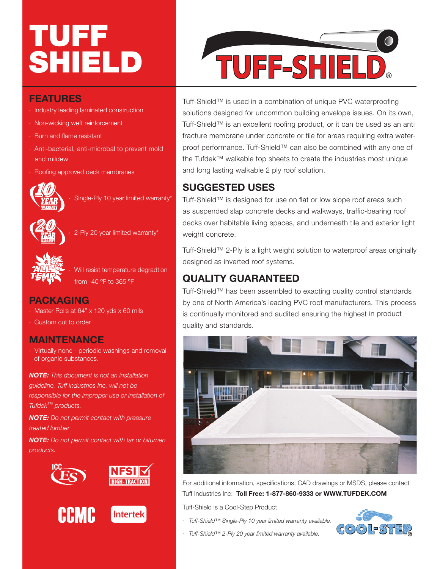# TUFF SHIELD

## **FEATURES**

- · Industry leading laminated construction
- · Non-wicking weft reinforcement
- · Burn and flame resistant
- · Anti-bacterial, anti-microbal to prevent mold and mildew
- · Roofing approved deck membranes



Single-Ply 10 year limited warranty<sup>\*</sup>



2-Ply 20 year limited warranty\*



Will resist temperature degradtion from -40 °F to 365 °F

### **PACKAGING**

- · Master Rolls at 64" x 120 yds x 60 mils
- · Custom cut to order

#### **MAINTENANCE**

· Virtually none - periodic washings and removal of organic substances.

*NOTE: This document is not an installation guideline. Tuff Industries Inc. will not be responsible for the improper use or installation of Tufdek*™ *products.*

*NOTE: Do not permit contact with preasure treated lumber*

*NOTE: Do not permit contact with tar or bitumen products.*



**Intertek** 





Tuff-Shield™ is used in a combination of unique PVC waterproofing solutions designed for uncommon building envelope issues. On its own, Tuff-Shield™ is an excellent roofing product, or it can be used as an anti fracture membrane under concrete or tile for areas requiring extra waterproof performance. Tuff-Shield™ can also be combined with any one of the Tufdek™ walkable top sheets to create the industries most unique and long lasting walkable 2 ply roof solution.

# **SUGGESTED USES**

Tuff-Shield™ is designed for use on flat or low slope roof areas such as suspended slap concrete decks and walkways, traffic-bearing roof decks over habitable living spaces, and underneath tile and exterior light weight concrete.

Tuff-Shield™ 2-Ply is a light weight solution to waterproof areas originally designed as inverted roof systems.

# **QUALITY GUARANTEED**

Tuff-Shield™ has been assembled to exacting quality control standards by one of North America's leading PVC roof manufacturers. This process is continually monitored and audited ensuring the highest in product quality and standards.



For additional information, specifications, CAD drawings or MSDS, please contact Tuff Industries Inc: **Toll Free: 1-877-860-9333 or WWW.TUFDEK.COM**

Tuff-Shield is a Cool-Step Product

- *· Tuff-Shield™ Single-Ply 10 year limited warranty available.*
- *· Tuff-Shield™ 2-Ply 20 year limited warranty available.*